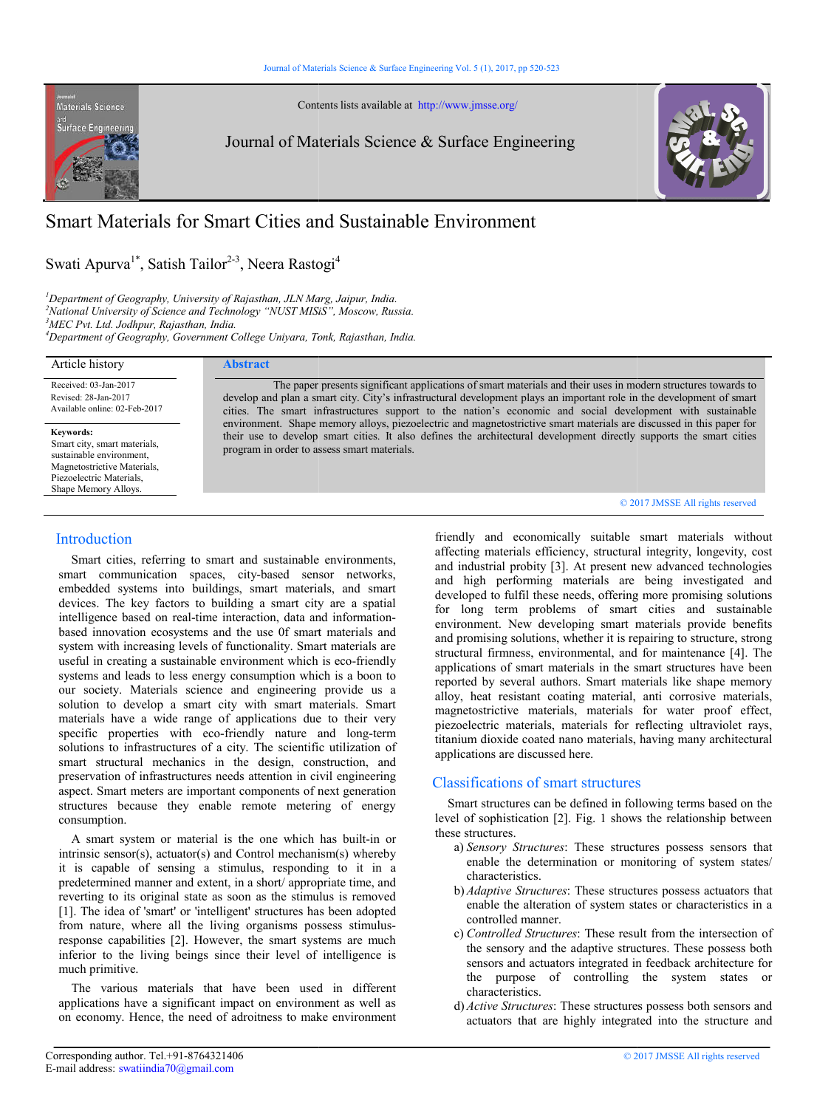Contents lists available at http://www.jmsse.org/

Surface Engineerin

Materials Science

Journal of Materials Science & Surface Engineering



# Journal of Materials Science & Surface Engine<br>
Smart Materials for Smart Cities and Sustainable Environment

Swati Apurva<sup>1\*</sup>, Satish Tailor<sup>2-3</sup>, Neera Rastogi<sup>4</sup>

*1 Department of Geography, University of Rajasthan, JLN Marg, Jaipur, India. Department* 

*2 National University of Science and Technology "NUST MISiS", Moscow, Russia.*

*3 MEC Pvt. Ltd. Jodhpur, Rajasthan, India.*

*4 Department of Geography, Government College Uniyara, Tonk, Rajasthan, India. Department* 

| Article history                                                                                                                                          | <b>Abstract</b>                                                                                                                                                                                                                                                                                                                                      |
|----------------------------------------------------------------------------------------------------------------------------------------------------------|------------------------------------------------------------------------------------------------------------------------------------------------------------------------------------------------------------------------------------------------------------------------------------------------------------------------------------------------------|
| Received: 03-Jan-2017<br>Revised: 28-Jan-2017<br>Available online: 02-Feb-2017                                                                           | The paper presents significant applications of smart materials and their uses in modern structures towards to<br>develop and plan a smart city. City's infrastructural development plays an important role in the development of smart<br>cities. The smart infrastructures support to the nation's economic and social development with sustainable |
| Keywords:<br>Smart city, smart materials,<br>sustainable environment.<br>Magnetostrictive Materials,<br>Piezoelectric Materials.<br>Shape Memory Alloys. | environment. Shape memory alloys, piezoelectric and magnetostrictive smart materials are discussed in this paper for<br>their use to develop smart cities. It also defines the architectural development directly supports the smart cities<br>program in order to assess smart materials.                                                           |
|                                                                                                                                                          | © 2017 JMSSE All rights reserved                                                                                                                                                                                                                                                                                                                     |

# Introduction

 Smart cities, referring to smart and sustainable environments, smart communication spaces, city-based sensor networks, embedded systems into buildings, smart materials, and smart devices. The key factors to building a smart city are a spatial intelligence based on real-time interaction, data and information based innovation ecosystems and the use 0f smart materials and system with increasing levels of functionality. Smart materials are useful in creating a sustainable environment which is eco-friendly systems and leads to less energy consumption which is a boon to our society. Materials science and engineering provide us a solution to develop a smart city with smart materials. Smart materials have a wide range of applications due to their very systems and leads to less energy consumption which is a boon to our society. Materials science and engineering provide us a solution to develop a smart city with smart materials. Smart materials have a wide range of applic solutions to infrastructures of a city. The scientific utilization of smart structural mechanics in the design, construction, and preservation of infrastructures needs attention in civil engineering aspect. Smart meters are important components of next generation structures because they enable remote metering of energy consumption. ies, referring to smart and sustainable environments, munication spaces, city-based sensor networks, systems into buildings, smart materials, and smart e key factors to building a smart city are a spatial based on real-tim 0f smart materials and<br>ity. Smart materials are<br>it which is eco-friendly of infrastructures needs attention in civil engineering<br>t meters are important components of next generation<br>ecause they enable remote metering of energy<br>ystem or material is the one which has built-in or

 A smart system or material is the one which has built intrinsic sensor(s), actuator(s) and Control mechanism(s) whereby it is capable of sensing a stimulus, responding to it in a predetermined manner and extent, in a short/ appropriate time, and reverting to its original state as soon as the stimulus is removed [1]. The idea of 'smart' or 'intelligent' structures has been adopted from nature, where all the living organisms possess stimulus response capabilities [2]. However, the smart systems are much inferior to the living beings since their level of intelligence is much primitive. sensor(s), actuator(s) and Control mechanism(s) whereby pable of sensing a stimulus, responding to it in a nined manner and extent, in a short/ appropriate time, and to its original state as soon as the stimulus is removed

 The various materials that have been used in different applications have a significant impact on environment as well as on economy. Hence, the need of adroitness to make capabilities [2]. However, the smart systems are much<br>to the living beings since their level of intelligence is<br>mitive.<br>various materials that have been used in different<br>ons have a significant impact on environment as wel

friendly and economically suitable smart materials without affecting materials efficiency, structural integrity, longevity, cost and industrial probity [3]. At present new advanced technologies and high performing materials are being investigated and developed to fulfil these needs, offering more promising solutions for long term problems of smart cities and sustainable environment. New developing smart materials provide benefits and promising solutions, whether it is repairing to structure, strong structural firmness, environmental, and for maintenance [4]. The applications of smart materials in the smart structures have been reported by several authors. Smart materials like shape memory alloy, heat resistant coating material, anti corrosive materials, magnetostrictive materials, materials for water proof effect, piezoelectric materials, materials for reflecting ultraviolet rays, titanium dioxide coated nano materials, having many architectural applications are discussed here.

# Classifications of smart structures

 Smart structures can be defined in following terms based on the level of sophistication [2]. Fig. 1 shows the relationship between these structures.

- a) *Sensory Structures*: These structures possess sensors that enable the determination or monitoring of system states/ characteristics.
- b) *Adaptive Structures*: These structures possess actuators that enable the alteration of system states or characteristics in a controlled manner.
- c) *Controlled Structures*: These result from the intersection of the sensory and the adaptive structures. These possess both sensors and actuators integrated in feedback architecture for the purpose of controlling the system states or characteristics.
- d) *Active Structures*: These structures possess both sensors and actuators that are highly integrated into the structure and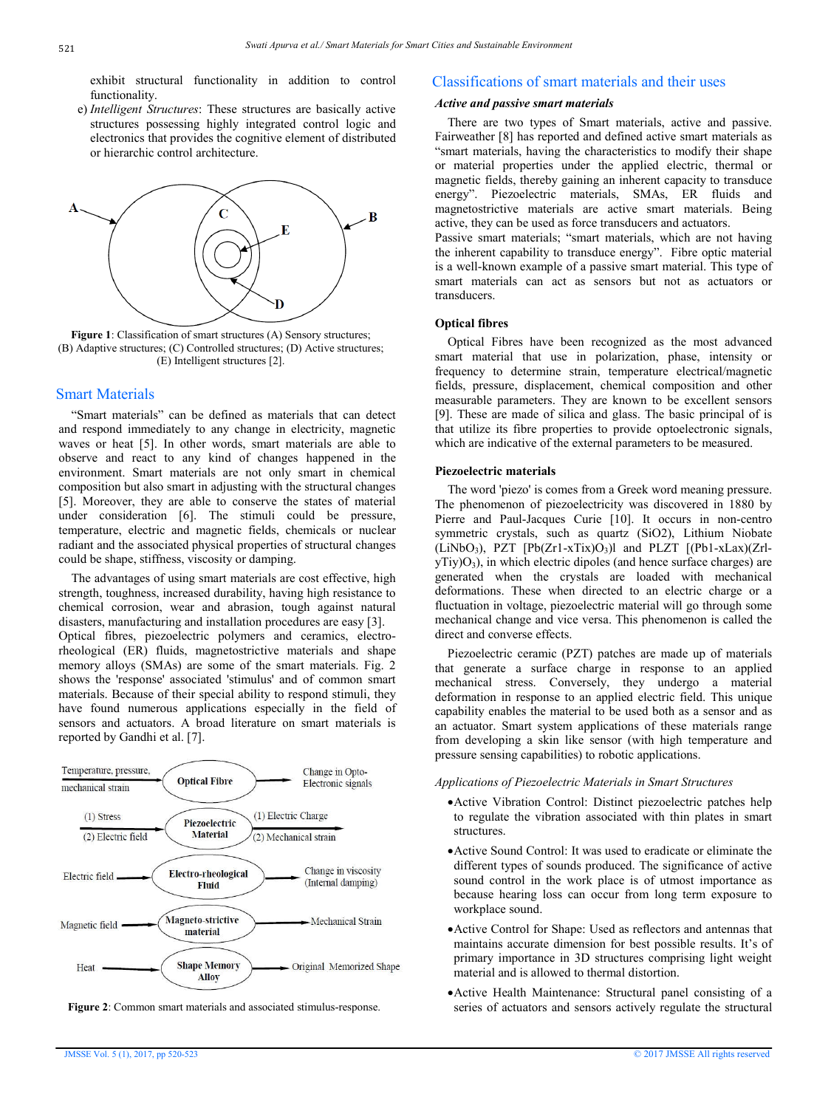exhibit structural functionality in addition to control functionality.

e) *Intelligent Structures*: These structures are basically active structures possessing highly integrated control logic and electronics that provides the cognitive element of distributed or hierarchic control architecture.



**Figure 1**: Classification of smart structures (A) Sensory structures; (B) Adaptive structures; (C) Controlled structures; (D) Active structures; (E) Intelligent structures [2].

# Smart Materials

 "Smart materials" can be defined as materials that can detect and respond immediately to any change in electricity, magnetic waves or heat [5]. In other words, smart materials are able to observe and react to any kind of changes happened in the environment. Smart materials are not only smart in chemical composition but also smart in adjusting with the structural changes [5]. Moreover, they are able to conserve the states of material under consideration [6]. The stimuli could be pressure, temperature, electric and magnetic fields, chemicals or nuclear radiant and the associated physical properties of structural changes could be shape, stiffness, viscosity or damping.

 The advantages of using smart materials are cost effective, high strength, toughness, increased durability, having high resistance to chemical corrosion, wear and abrasion, tough against natural disasters, manufacturing and installation procedures are easy [3]. Optical fibres, piezoelectric polymers and ceramics, electrorheological (ER) fluids, magnetostrictive materials and shape memory alloys (SMAs) are some of the smart materials. Fig. 2 shows the 'response' associated 'stimulus' and of common smart materials. Because of their special ability to respond stimuli, they have found numerous applications especially in the field of sensors and actuators. A broad literature on smart materials is reported by Gandhi et al. [7].





## Classifications of smart materials and their uses

#### *Active and passive smart materials*

 There are two types of Smart materials, active and passive. Fairweather [8] has reported and defined active smart materials as "smart materials, having the characteristics to modify their shape or material properties under the applied electric, thermal or magnetic fields, thereby gaining an inherent capacity to transduce energy". Piezoelectric materials, SMAs, ER fluids and magnetostrictive materials are active smart materials. Being active, they can be used as force transducers and actuators.

Passive smart materials; "smart materials, which are not having the inherent capability to transduce energy". Fibre optic material is a well-known example of a passive smart material. This type of smart materials can act as sensors but not as actuators or transducers.

## **Optical fibres**

 Optical Fibres have been recognized as the most advanced smart material that use in polarization, phase, intensity or frequency to determine strain, temperature electrical/magnetic fields, pressure, displacement, chemical composition and other measurable parameters. They are known to be excellent sensors [9]. These are made of silica and glass. The basic principal of is that utilize its fibre properties to provide optoelectronic signals, which are indicative of the external parameters to be measured.

#### **Piezoelectric materials**

 The word 'piezo' is comes from a Greek word meaning pressure. The phenomenon of piezoelectricity was discovered in 1880 by Pierre and Paul-Jacques Curie [10]. It occurs in non-centro symmetric crystals, such as quartz (SiO2), Lithium Niobate  $(LiNbO<sub>3</sub>)$ , PZT  $[Pb(Zr1-xTix)O<sub>3</sub>]$  and PLZT  $[(Pb1-xLax)(Zr]$  $yTiy)O<sub>3</sub>$ , in which electric dipoles (and hence surface charges) are generated when the crystals are loaded with mechanical deformations. These when directed to an electric charge or a fluctuation in voltage, piezoelectric material will go through some mechanical change and vice versa. This phenomenon is called the direct and converse effects.

 Piezoelectric ceramic (PZT) patches are made up of materials that generate a surface charge in response to an applied mechanical stress. Conversely, they undergo a material deformation in response to an applied electric field. This unique capability enables the material to be used both as a sensor and as an actuator. Smart system applications of these materials range from developing a skin like sensor (with high temperature and pressure sensing capabilities) to robotic applications.

#### *Applications of Piezoelectric Materials in Smart Structures*

- Active Vibration Control: Distinct piezoelectric patches help to regulate the vibration associated with thin plates in smart structures.
- Active Sound Control: It was used to eradicate or eliminate the different types of sounds produced. The significance of active sound control in the work place is of utmost importance as because hearing loss can occur from long term exposure to workplace sound.
- Active Control for Shape: Used as reflectors and antennas that maintains accurate dimension for best possible results. It's of primary importance in 3D structures comprising light weight material and is allowed to thermal distortion.
- Active Health Maintenance: Structural panel consisting of a series of actuators and sensors actively regulate the structural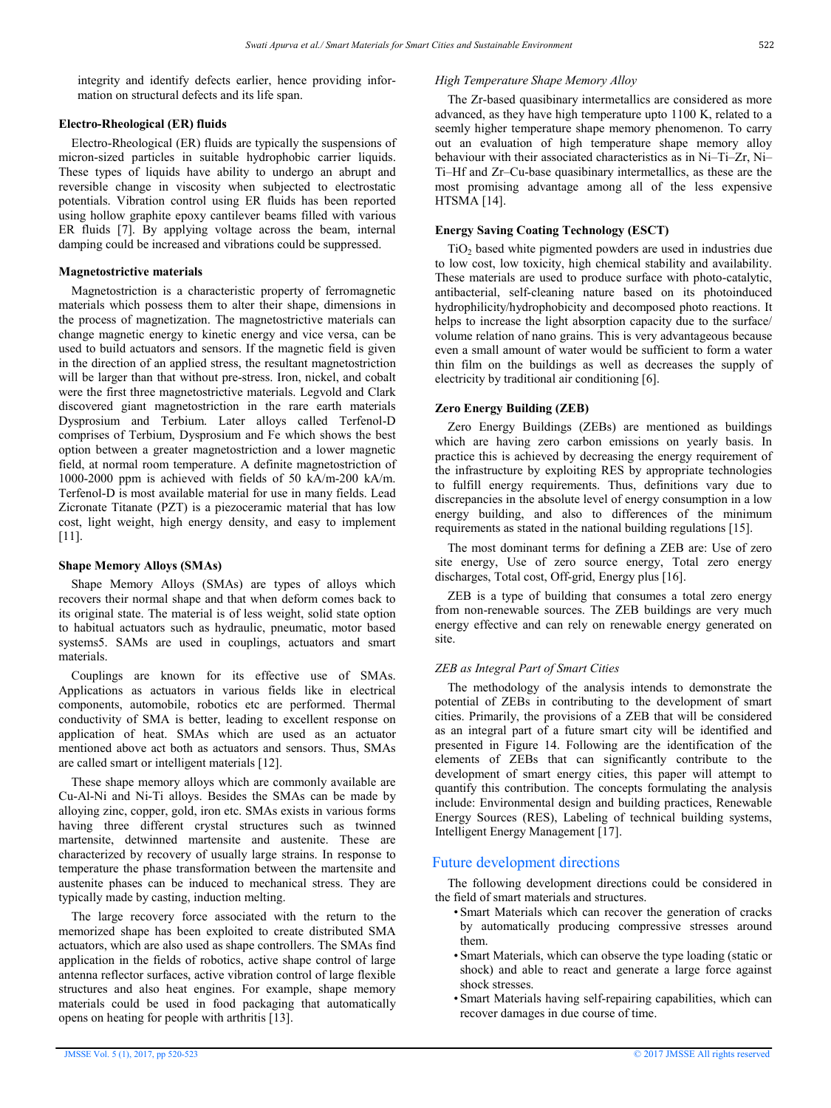integrity and identify defects earlier, hence providing information on structural defects and its life span.

#### **Electro-Rheological (ER) fluids**

 Electro-Rheological (ER) fluids are typically the suspensions of micron-sized particles in suitable hydrophobic carrier liquids. These types of liquids have ability to undergo an abrupt and reversible change in viscosity when subjected to electrostatic potentials. Vibration control using ER fluids has been reported using hollow graphite epoxy cantilever beams filled with various ER fluids [7]. By applying voltage across the beam, internal damping could be increased and vibrations could be suppressed.

#### **Magnetostrictive materials**

 Magnetostriction is a characteristic property of ferromagnetic materials which possess them to alter their shape, dimensions in the process of magnetization. The magnetostrictive materials can change magnetic energy to kinetic energy and vice versa, can be used to build actuators and sensors. If the magnetic field is given in the direction of an applied stress, the resultant magnetostriction will be larger than that without pre-stress. Iron, nickel, and cobalt were the first three magnetostrictive materials. Legvold and Clark discovered giant magnetostriction in the rare earth materials Dysprosium and Terbium. Later alloys called Terfenol-D comprises of Terbium, Dysprosium and Fe which shows the best option between a greater magnetostriction and a lower magnetic field, at normal room temperature. A definite magnetostriction of 1000-2000 ppm is achieved with fields of 50 kA/m-200 kA/m. Terfenol-D is most available material for use in many fields. Lead Zicronate Titanate (PZT) is a piezoceramic material that has low cost, light weight, high energy density, and easy to implement [11].

#### **Shape Memory Alloys (SMAs)**

 Shape Memory Alloys (SMAs) are types of alloys which recovers their normal shape and that when deform comes back to its original state. The material is of less weight, solid state option to habitual actuators such as hydraulic, pneumatic, motor based systems5. SAMs are used in couplings, actuators and smart materials.

 Couplings are known for its effective use of SMAs. Applications as actuators in various fields like in electrical components, automobile, robotics etc are performed. Thermal conductivity of SMA is better, leading to excellent response on application of heat. SMAs which are used as an actuator mentioned above act both as actuators and sensors. Thus, SMAs are called smart or intelligent materials [12].

 These shape memory alloys which are commonly available are Cu-Al-Ni and Ni-Ti alloys. Besides the SMAs can be made by alloying zinc, copper, gold, iron etc. SMAs exists in various forms having three different crystal structures such as twinned martensite, detwinned martensite and austenite. These are characterized by recovery of usually large strains. In response to temperature the phase transformation between the martensite and austenite phases can be induced to mechanical stress. They are typically made by casting, induction melting.

 The large recovery force associated with the return to the memorized shape has been exploited to create distributed SMA actuators, which are also used as shape controllers. The SMAs find application in the fields of robotics, active shape control of large antenna reflector surfaces, active vibration control of large flexible structures and also heat engines. For example, shape memory materials could be used in food packaging that automatically opens on heating for people with arthritis [13].

#### *High Temperature Shape Memory Alloy*

 The Zr-based quasibinary intermetallics are considered as more advanced, as they have high temperature upto 1100 K, related to a seemly higher temperature shape memory phenomenon. To carry out an evaluation of high temperature shape memory alloy behaviour with their associated characteristics as in Ni–Ti–Zr, Ni– Ti–Hf and Zr–Cu-base quasibinary intermetallics, as these are the most promising advantage among all of the less expensive HTSMA [14].

## **Energy Saving Coating Technology (ESCT)**

 $TiO<sub>2</sub>$  based white pigmented powders are used in industries due to low cost, low toxicity, high chemical stability and availability. These materials are used to produce surface with photo-catalytic, antibacterial, self-cleaning nature based on its photoinduced hydrophilicity/hydrophobicity and decomposed photo reactions. It helps to increase the light absorption capacity due to the surface/ volume relation of nano grains. This is very advantageous because even a small amount of water would be sufficient to form a water thin film on the buildings as well as decreases the supply of electricity by traditional air conditioning [6].

## **Zero Energy Building (ZEB)**

 Zero Energy Buildings (ZEBs) are mentioned as buildings which are having zero carbon emissions on yearly basis. In practice this is achieved by decreasing the energy requirement of the infrastructure by exploiting RES by appropriate technologies to fulfill energy requirements. Thus, definitions vary due to discrepancies in the absolute level of energy consumption in a low energy building, and also to differences of the minimum requirements as stated in the national building regulations [15].

 The most dominant terms for defining a ZEB are: Use of zero site energy, Use of zero source energy, Total zero energy discharges, Total cost, Off-grid, Energy plus [16].

 ZEB is a type of building that consumes a total zero energy from non-renewable sources. The ZEB buildings are very much energy effective and can rely on renewable energy generated on site.

#### *ZEB as Integral Part of Smart Cities*

 The methodology of the analysis intends to demonstrate the potential of ZEBs in contributing to the development of smart cities. Primarily, the provisions of a ZEB that will be considered as an integral part of a future smart city will be identified and presented in Figure 14. Following are the identification of the elements of ZEBs that can significantly contribute to the development of smart energy cities, this paper will attempt to quantify this contribution. The concepts formulating the analysis include: Environmental design and building practices, Renewable Energy Sources (RES), Labeling of technical building systems, Intelligent Energy Management [17].

# Future development directions

 The following development directions could be considered in the field of smart materials and structures.

- Smart Materials which can recover the generation of cracks by automatically producing compressive stresses around them.
- Smart Materials, which can observe the type loading (static or shock) and able to react and generate a large force against shock stresses.
- Smart Materials having self-repairing capabilities, which can recover damages in due course of time.